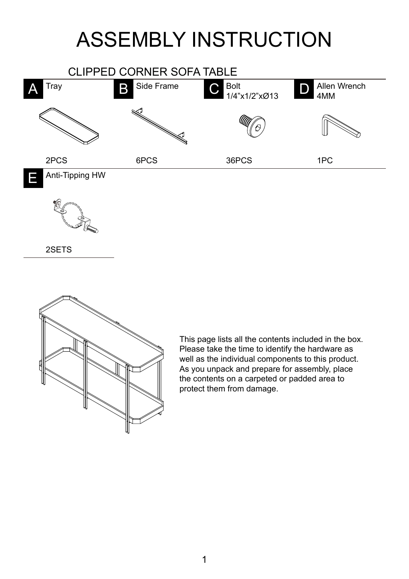## ASSEMBLY INSTRUCTION





2SETS



This page lists all the contents included in the box. Please take the time to identify the hardware as well as the individual components to this product. As you unpack and prepare for assembly, place the contents on a carpeted or padded area to protect them from damage.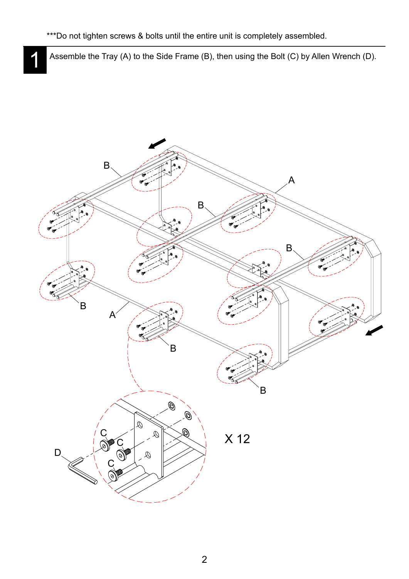Assemble the Tray (A) to the Side Frame (B), then using the Bolt (C) by Allen Wrench (D).